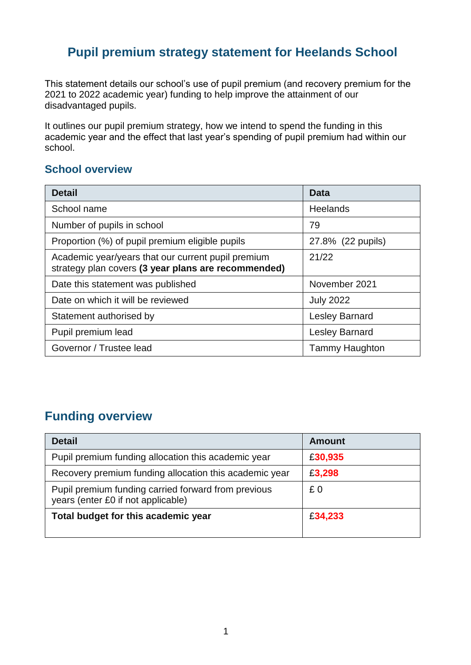## **Pupil premium strategy statement for Heelands School**

This statement details our school's use of pupil premium (and recovery premium for the 2021 to 2022 academic year) funding to help improve the attainment of our disadvantaged pupils.

It outlines our pupil premium strategy, how we intend to spend the funding in this academic year and the effect that last year's spending of pupil premium had within our school.

#### **School overview**

| <b>Detail</b>                                                                                             | <b>Data</b>           |  |
|-----------------------------------------------------------------------------------------------------------|-----------------------|--|
| School name                                                                                               | <b>Heelands</b>       |  |
| Number of pupils in school                                                                                | 79                    |  |
| Proportion (%) of pupil premium eligible pupils                                                           | 27.8% (22 pupils)     |  |
| Academic year/years that our current pupil premium<br>strategy plan covers (3 year plans are recommended) | 21/22                 |  |
| Date this statement was published                                                                         | November 2021         |  |
| Date on which it will be reviewed                                                                         | <b>July 2022</b>      |  |
| Statement authorised by                                                                                   | <b>Lesley Barnard</b> |  |
| Pupil premium lead                                                                                        | <b>Lesley Barnard</b> |  |
| Governor / Trustee lead                                                                                   | <b>Tammy Haughton</b> |  |

## **Funding overview**

| <b>Detail</b>                                                                             | <b>Amount</b> |
|-------------------------------------------------------------------------------------------|---------------|
| Pupil premium funding allocation this academic year                                       | £30,935       |
| Recovery premium funding allocation this academic year                                    | £3,298        |
| Pupil premium funding carried forward from previous<br>years (enter £0 if not applicable) | £0            |
| Total budget for this academic year                                                       | £34,233       |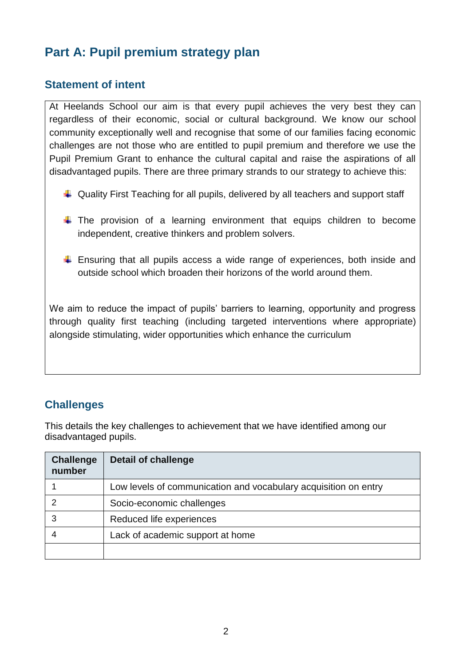# **Part A: Pupil premium strategy plan**

#### **Statement of intent**

At Heelands School our aim is that every pupil achieves the very best they can regardless of their economic, social or cultural background. We know our school community exceptionally well and recognise that some of our families facing economic challenges are not those who are entitled to pupil premium and therefore we use the Pupil Premium Grant to enhance the cultural capital and raise the aspirations of all disadvantaged pupils. There are three primary strands to our strategy to achieve this:

- $\downarrow$  Quality First Teaching for all pupils, delivered by all teachers and support staff
- $\downarrow$  The provision of a learning environment that equips children to become independent, creative thinkers and problem solvers.
- $\ddot$  Ensuring that all pupils access a wide range of experiences, both inside and outside school which broaden their horizons of the world around them.

We aim to reduce the impact of pupils' barriers to learning, opportunity and progress through quality first teaching (including targeted interventions where appropriate) alongside stimulating, wider opportunities which enhance the curriculum

### **Challenges**

This details the key challenges to achievement that we have identified among our disadvantaged pupils.

| <b>Challenge</b><br>number | <b>Detail of challenge</b>                                      |
|----------------------------|-----------------------------------------------------------------|
|                            | Low levels of communication and vocabulary acquisition on entry |
| っ                          | Socio-economic challenges                                       |
| 3                          | Reduced life experiences                                        |
|                            | Lack of academic support at home                                |
|                            |                                                                 |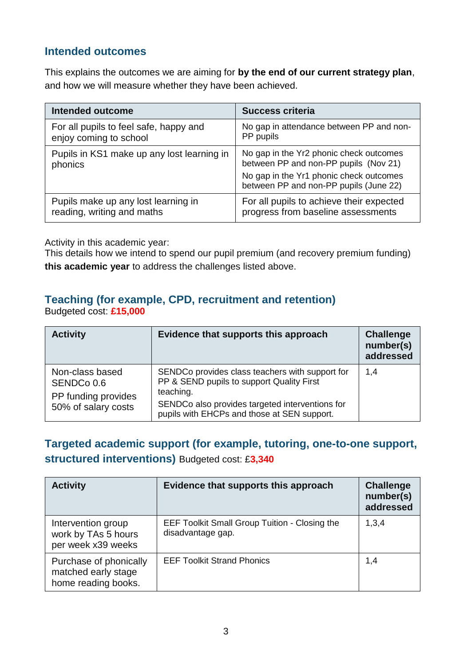#### **Intended outcomes**

This explains the outcomes we are aiming for **by the end of our current strategy plan**, and how we will measure whether they have been achieved.

| <b>Intended outcome</b>                               | <b>Success criteria</b>                                                                                                                                               |
|-------------------------------------------------------|-----------------------------------------------------------------------------------------------------------------------------------------------------------------------|
| For all pupils to feel safe, happy and                | No gap in attendance between PP and non-                                                                                                                              |
| enjoy coming to school                                | PP pupils                                                                                                                                                             |
| Pupils in KS1 make up any lost learning in<br>phonics | No gap in the Yr2 phonic check outcomes<br>between PP and non-PP pupils (Nov 21)<br>No gap in the Yr1 phonic check outcomes<br>between PP and non-PP pupils (June 22) |
| Pupils make up any lost learning in                   | For all pupils to achieve their expected                                                                                                                              |
| reading, writing and maths                            | progress from baseline assessments                                                                                                                                    |

Activity in this academic year:

This details how we intend to spend our pupil premium (and recovery premium funding) **this academic year** to address the challenges listed above.

### **Teaching (for example, CPD, recruitment and retention)**

Budgeted cost: **£15,000**

| <b>Activity</b>                                                             | Evidence that supports this approach                                                                                                                                                                        | <b>Challenge</b><br>number(s)<br>addressed |
|-----------------------------------------------------------------------------|-------------------------------------------------------------------------------------------------------------------------------------------------------------------------------------------------------------|--------------------------------------------|
| Non-class based<br>SENDCo 0.6<br>PP funding provides<br>50% of salary costs | SENDCo provides class teachers with support for<br>PP & SEND pupils to support Quality First<br>teaching.<br>SENDCo also provides targeted interventions for<br>pupils with EHCPs and those at SEN support. | 1,4                                        |

## **Targeted academic support (for example, tutoring, one-to-one support, structured interventions)** Budgeted cost: £**3,340**

| <b>Activity</b>                                                      | Evidence that supports this approach                                      | <b>Challenge</b><br>number(s)<br>addressed |
|----------------------------------------------------------------------|---------------------------------------------------------------------------|--------------------------------------------|
| Intervention group<br>work by TAs 5 hours<br>per week x39 weeks      | <b>EEF Toolkit Small Group Tuition - Closing the</b><br>disadvantage gap. | 1,3,4                                      |
| Purchase of phonically<br>matched early stage<br>home reading books. | <b>EEF Toolkit Strand Phonics</b>                                         | 1,4                                        |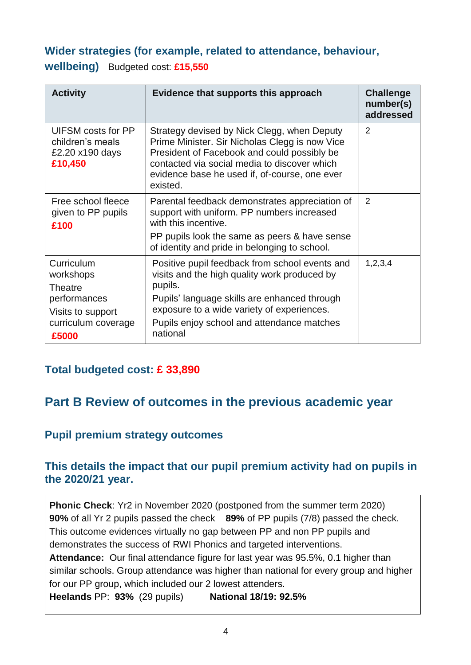### **Wider strategies (for example, related to attendance, behaviour, wellbeing)** Budgeted cost: **£15,550**

| <b>Activity</b>                                                                                                | Evidence that supports this approach                                                                                                                                                                                                                              | <b>Challenge</b><br>number(s)<br>addressed |
|----------------------------------------------------------------------------------------------------------------|-------------------------------------------------------------------------------------------------------------------------------------------------------------------------------------------------------------------------------------------------------------------|--------------------------------------------|
| UIFSM costs for PP<br>children's meals<br>£2.20 x190 days<br>£10,450                                           | Strategy devised by Nick Clegg, when Deputy<br>Prime Minister. Sir Nicholas Clegg is now Vice<br>President of Facebook and could possibly be<br>contacted via social media to discover which<br>evidence base he used if, of-course, one ever<br>existed.         | $\mathcal{P}$                              |
| Free school fleece<br>given to PP pupils<br>£100                                                               | Parental feedback demonstrates appreciation of<br>support with uniform. PP numbers increased<br>with this incentive.<br>PP pupils look the same as peers & have sense<br>of identity and pride in belonging to school.                                            | 2                                          |
| Curriculum<br>workshops<br><b>Theatre</b><br>performances<br>Visits to support<br>curriculum coverage<br>£5000 | Positive pupil feedback from school events and<br>visits and the high quality work produced by<br>pupils.<br>Pupils' language skills are enhanced through<br>exposure to a wide variety of experiences.<br>Pupils enjoy school and attendance matches<br>national | 1, 2, 3, 4                                 |

### **Total budgeted cost: £ 33,890**

## **Part B Review of outcomes in the previous academic year**

#### **Pupil premium strategy outcomes**

#### **This details the impact that our pupil premium activity had on pupils in the 2020/21 year.**

**Phonic Check**: Yr2 in November 2020 (postponed from the summer term 2020) **90%** of all Yr 2 pupils passed the check **89%** of PP pupils (7/8) passed the check. This outcome evidences virtually no gap between PP and non PP pupils and demonstrates the success of RWI Phonics and targeted interventions. **Attendance:** Our final attendance figure for last year was 95.5%, 0.1 higher than similar schools. Group attendance was higher than national for every group and higher for our PP group, which included our 2 lowest attenders. **Heelands** PP: **93%** (29 pupils) **National 18/19: 92.5%**